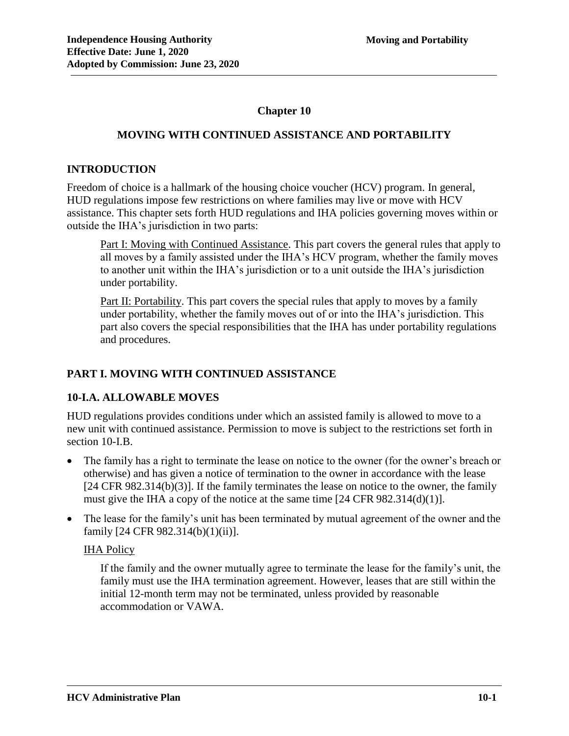# **Chapter 10**

# **MOVING WITH CONTINUED ASSISTANCE AND PORTABILITY**

### **INTRODUCTION**

Freedom of choice is a hallmark of the housing choice voucher (HCV) program. In general, HUD regulations impose few restrictions on where families may live or move with HCV assistance. This chapter sets forth HUD regulations and IHA policies governing moves within or outside the IHA's jurisdiction in two parts:

Part I: Moving with Continued Assistance. This part covers the general rules that apply to all moves by a family assisted under the IHA's HCV program, whether the family moves to another unit within the IHA's jurisdiction or to a unit outside the IHA's jurisdiction under portability.

Part II: Portability. This part covers the special rules that apply to moves by a family under portability, whether the family moves out of or into the IHA's jurisdiction. This part also covers the special responsibilities that the IHA has under portability regulations and procedures.

# **PART I. MOVING WITH CONTINUED ASSISTANCE**

### **10-I.A. ALLOWABLE MOVES**

HUD regulations provides conditions under which an assisted family is allowed to move to a new unit with continued assistance. Permission to move is subject to the restrictions set forth in section 10-I.B.

- The family has a right to terminate the lease on notice to the owner (for the owner's breach or otherwise) and has given a notice of termination to the owner in accordance with the lease [24 CFR 982.314(b)(3)]. If the family terminates the lease on notice to the owner, the family must give the IHA a copy of the notice at the same time [24 CFR 982.314(d)(1)].
- The lease for the family's unit has been terminated by mutual agreement of the owner and the family [24 CFR 982.314(b)(1)(ii)].

### IHA Policy

If the family and the owner mutually agree to terminate the lease for the family's unit, the family must use the IHA termination agreement. However, leases that are still within the initial 12-month term may not be terminated, unless provided by reasonable accommodation or VAWA.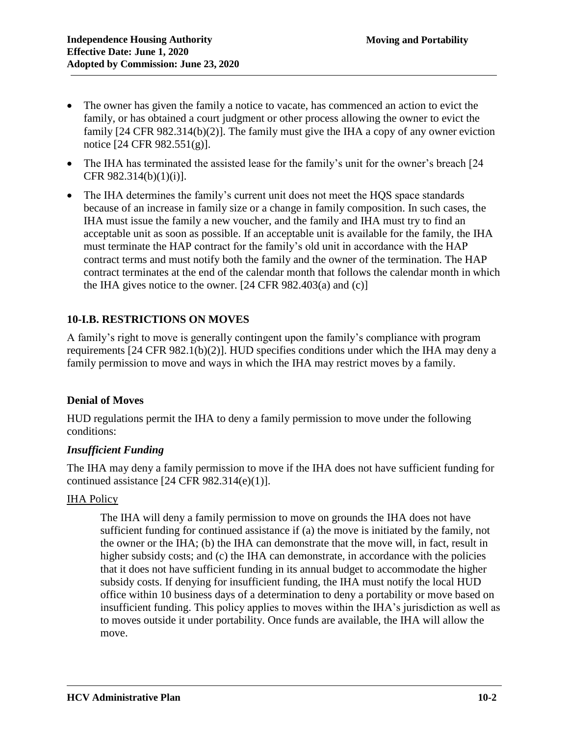- The owner has given the family a notice to vacate, has commenced an action to evict the family, or has obtained a court judgment or other process allowing the owner to evict the family [24 CFR 982.314(b)(2)]. The family must give the IHA a copy of any owner eviction notice [24 CFR 982.551(g)].
- The IHA has terminated the assisted lease for the family's unit for the owner's breach [24] CFR 982.314(b)(1)(i)].
- The IHA determines the family's current unit does not meet the HOS space standards because of an increase in family size or a change in family composition. In such cases, the IHA must issue the family a new voucher, and the family and IHA must try to find an acceptable unit as soon as possible. If an acceptable unit is available for the family, the IHA must terminate the HAP contract for the family's old unit in accordance with the HAP contract terms and must notify both the family and the owner of the termination. The HAP contract terminates at the end of the calendar month that follows the calendar month in which the IHA gives notice to the owner.  $[24 \text{ CFR } 982.403(a)$  and  $(c)]$

# **10-I.B. RESTRICTIONS ON MOVES**

A family's right to move is generally contingent upon the family's compliance with program requirements [24 CFR 982.1(b)(2)]. HUD specifies conditions under which the IHA may deny a family permission to move and ways in which the IHA may restrict moves by a family.

# **Denial of Moves**

HUD regulations permit the IHA to deny a family permission to move under the following conditions:

# *Insufficient Funding*

The IHA may deny a family permission to move if the IHA does not have sufficient funding for continued assistance  $[24 \text{ CFR } 982.314(e)(1)].$ 

# IHA Policy

The IHA will deny a family permission to move on grounds the IHA does not have sufficient funding for continued assistance if (a) the move is initiated by the family, not the owner or the IHA; (b) the IHA can demonstrate that the move will, in fact, result in higher subsidy costs; and (c) the IHA can demonstrate, in accordance with the policies that it does not have sufficient funding in its annual budget to accommodate the higher subsidy costs. If denying for insufficient funding, the IHA must notify the local HUD office within 10 business days of a determination to deny a portability or move based on insufficient funding. This policy applies to moves within the IHA's jurisdiction as well as to moves outside it under portability. Once funds are available, the IHA will allow the move.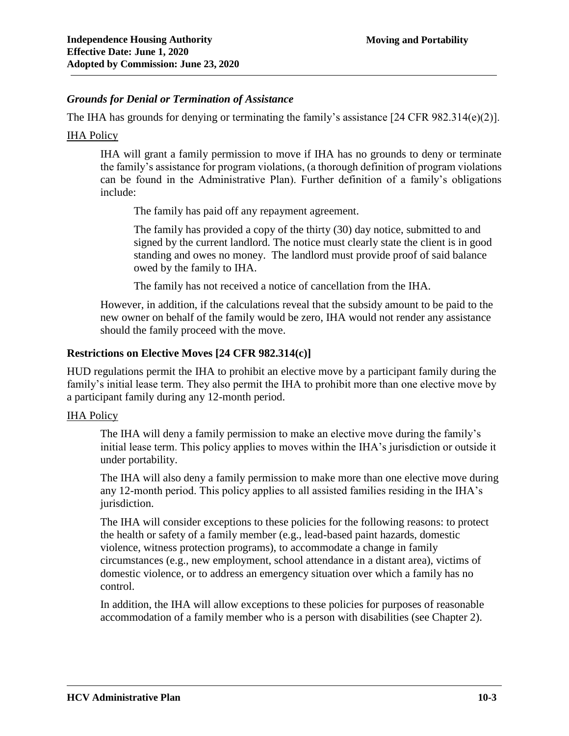#### *Grounds for Denial or Termination of Assistance*

The IHA has grounds for denying or terminating the family's assistance [24 CFR 982.314(e)(2)].

#### IHA Policy

IHA will grant a family permission to move if IHA has no grounds to deny or terminate the family's assistance for program violations, (a thorough definition of program violations can be found in the Administrative Plan). Further definition of a family's obligations include:

The family has paid off any repayment agreement.

The family has provided a copy of the thirty (30) day notice, submitted to and signed by the current landlord. The notice must clearly state the client is in good standing and owes no money. The landlord must provide proof of said balance owed by the family to IHA.

The family has not received a notice of cancellation from the IHA.

However, in addition, if the calculations reveal that the subsidy amount to be paid to the new owner on behalf of the family would be zero, IHA would not render any assistance should the family proceed with the move.

### **Restrictions on Elective Moves [24 CFR 982.314(c)]**

HUD regulations permit the IHA to prohibit an elective move by a participant family during the family's initial lease term. They also permit the IHA to prohibit more than one elective move by a participant family during any 12-month period.

#### IHA Policy

The IHA will deny a family permission to make an elective move during the family's initial lease term. This policy applies to moves within the IHA's jurisdiction or outside it under portability.

The IHA will also deny a family permission to make more than one elective move during any 12-month period. This policy applies to all assisted families residing in the IHA's jurisdiction.

The IHA will consider exceptions to these policies for the following reasons: to protect the health or safety of a family member (e.g., lead-based paint hazards, domestic violence, witness protection programs), to accommodate a change in family circumstances (e.g., new employment, school attendance in a distant area), victims of domestic violence, or to address an emergency situation over which a family has no control.

In addition, the IHA will allow exceptions to these policies for purposes of reasonable accommodation of a family member who is a person with disabilities (see Chapter 2).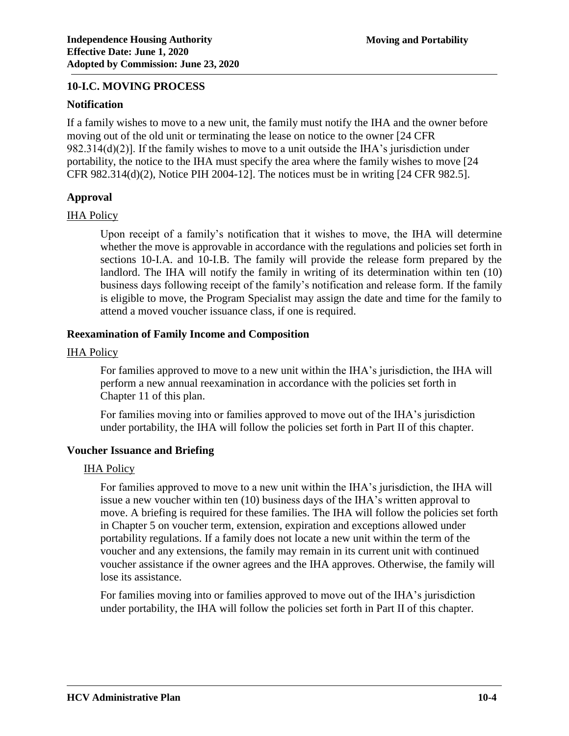#### **10-I.C. MOVING PROCESS**

#### **Notification**

If a family wishes to move to a new unit, the family must notify the IHA and the owner before moving out of the old unit or terminating the lease on notice to the owner [24 CFR 982.314(d)(2)]. If the family wishes to move to a unit outside the IHA's jurisdiction under portability, the notice to the IHA must specify the area where the family wishes to move [24 CFR 982.314(d)(2), Notice PIH 2004-12]. The notices must be in writing [24 CFR 982.5].

#### **Approval**

#### IHA Policy

Upon receipt of a family's notification that it wishes to move, the IHA will determine whether the move is approvable in accordance with the regulations and policies set forth in sections 10-I.A. and 10-I.B. The family will provide the release form prepared by the landlord. The IHA will notify the family in writing of its determination within ten (10) business days following receipt of the family's notification and release form. If the family is eligible to move, the Program Specialist may assign the date and time for the family to attend a moved voucher issuance class, if one is required.

#### **Reexamination of Family Income and Composition**

#### IHA Policy

For families approved to move to a new unit within the IHA's jurisdiction, the IHA will perform a new annual reexamination in accordance with the policies set forth in Chapter 11 of this plan.

For families moving into or families approved to move out of the IHA's jurisdiction under portability, the IHA will follow the policies set forth in Part II of this chapter.

#### **Voucher Issuance and Briefing**

#### **IHA Policy**

For families approved to move to a new unit within the IHA's jurisdiction, the IHA will issue a new voucher within ten (10) business days of the IHA's written approval to move. A briefing is required for these families. The IHA will follow the policies set forth in Chapter 5 on voucher term, extension, expiration and exceptions allowed under portability regulations. If a family does not locate a new unit within the term of the voucher and any extensions, the family may remain in its current unit with continued voucher assistance if the owner agrees and the IHA approves. Otherwise, the family will lose its assistance.

For families moving into or families approved to move out of the IHA's jurisdiction under portability, the IHA will follow the policies set forth in Part II of this chapter.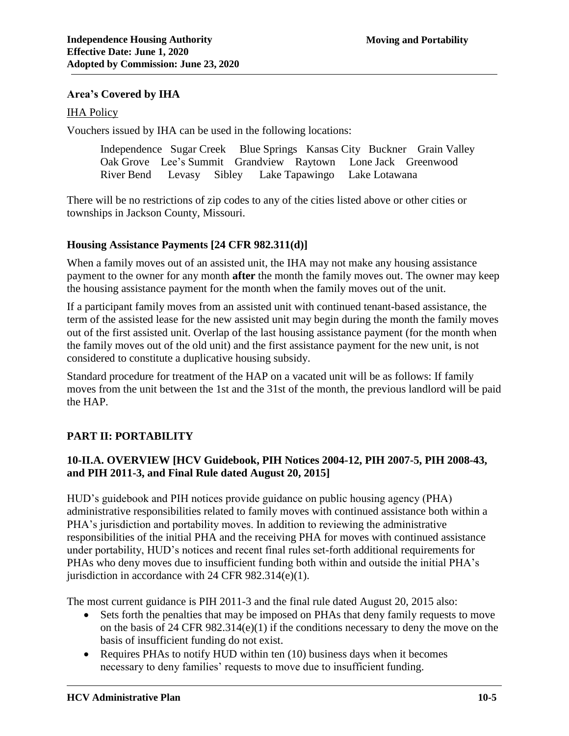#### **Area's Covered by IHA**

#### IHA Policy

Vouchers issued by IHA can be used in the following locations:

Independence Sugar Creek Blue Springs Kansas City Buckner Grain Valley Oak Grove Lee's Summit Grandview Raytown Lone Jack Greenwood River Bend Levasy Sibley Lake Tapawingo Lake Lotawana

There will be no restrictions of zip codes to any of the cities listed above or other cities or townships in Jackson County, Missouri.

#### **Housing Assistance Payments [24 CFR 982.311(d)]**

When a family moves out of an assisted unit, the IHA may not make any housing assistance payment to the owner for any month **after** the month the family moves out. The owner may keep the housing assistance payment for the month when the family moves out of the unit.

If a participant family moves from an assisted unit with continued tenant-based assistance, the term of the assisted lease for the new assisted unit may begin during the month the family moves out of the first assisted unit. Overlap of the last housing assistance payment (for the month when the family moves out of the old unit) and the first assistance payment for the new unit, is not considered to constitute a duplicative housing subsidy.

Standard procedure for treatment of the HAP on a vacated unit will be as follows: If family moves from the unit between the 1st and the 31st of the month, the previous landlord will be paid the HAP.

### **PART II: PORTABILITY**

### **10-II.A. OVERVIEW [HCV Guidebook, PIH Notices 2004-12, PIH 2007-5, PIH 2008-43, and PIH 2011-3, and Final Rule dated August 20, 2015]**

HUD's guidebook and PIH notices provide guidance on public housing agency (PHA) administrative responsibilities related to family moves with continued assistance both within a PHA's jurisdiction and portability moves. In addition to reviewing the administrative responsibilities of the initial PHA and the receiving PHA for moves with continued assistance under portability, HUD's notices and recent final rules set-forth additional requirements for PHAs who deny moves due to insufficient funding both within and outside the initial PHA's jurisdiction in accordance with 24 CFR 982.314(e)(1).

The most current guidance is PIH 2011-3 and the final rule dated August 20, 2015 also:

- Sets forth the penalties that may be imposed on PHAs that deny family requests to move on the basis of 24 CFR 982.314(e)(1) if the conditions necessary to deny the move on the basis of insufficient funding do not exist.
- Requires PHAs to notify HUD within ten (10) business days when it becomes necessary to deny families' requests to move due to insufficient funding.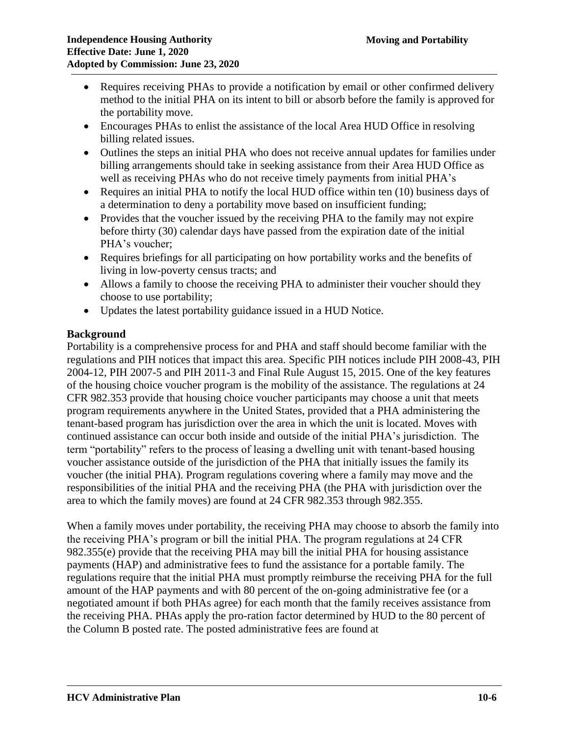- Requires receiving PHAs to provide a notification by email or other confirmed delivery method to the initial PHA on its intent to bill or absorb before the family is approved for the portability move.
- Encourages PHAs to enlist the assistance of the local Area HUD Office in resolving billing related issues.
- Outlines the steps an initial PHA who does not receive annual updates for families under billing arrangements should take in seeking assistance from their Area HUD Office as well as receiving PHAs who do not receive timely payments from initial PHA's
- Requires an initial PHA to notify the local HUD office within ten (10) business days of a determination to deny a portability move based on insufficient funding;
- Provides that the voucher issued by the receiving PHA to the family may not expire before thirty (30) calendar days have passed from the expiration date of the initial PHA's voucher;
- Requires briefings for all participating on how portability works and the benefits of living in low-poverty census tracts; and
- Allows a family to choose the receiving PHA to administer their voucher should they choose to use portability;
- Updates the latest portability guidance issued in a HUD Notice.

# **Background**

Portability is a comprehensive process for and PHA and staff should become familiar with the regulations and PIH notices that impact this area. Specific PIH notices include PIH 2008-43, PIH 2004-12, PIH 2007-5 and PIH 2011-3 and Final Rule August 15, 2015. One of the key features of the housing choice voucher program is the mobility of the assistance. The regulations at 24 CFR 982.353 provide that housing choice voucher participants may choose a unit that meets program requirements anywhere in the United States, provided that a PHA administering the tenant-based program has jurisdiction over the area in which the unit is located. Moves with continued assistance can occur both inside and outside of the initial PHA's jurisdiction. The term "portability" refers to the process of leasing a dwelling unit with tenant-based housing voucher assistance outside of the jurisdiction of the PHA that initially issues the family its voucher (the initial PHA). Program regulations covering where a family may move and the responsibilities of the initial PHA and the receiving PHA (the PHA with jurisdiction over the area to which the family moves) are found at 24 CFR 982.353 through 982.355.

When a family moves under portability, the receiving PHA may choose to absorb the family into the receiving PHA's program or bill the initial PHA. The program regulations at 24 CFR 982.355(e) provide that the receiving PHA may bill the initial PHA for housing assistance payments (HAP) and administrative fees to fund the assistance for a portable family. The regulations require that the initial PHA must promptly reimburse the receiving PHA for the full amount of the HAP payments and with 80 percent of the on-going administrative fee (or a negotiated amount if both PHAs agree) for each month that the family receives assistance from the receiving PHA. PHAs apply the pro-ration factor determined by HUD to the 80 percent of the Column B posted rate. The posted administrative fees are found at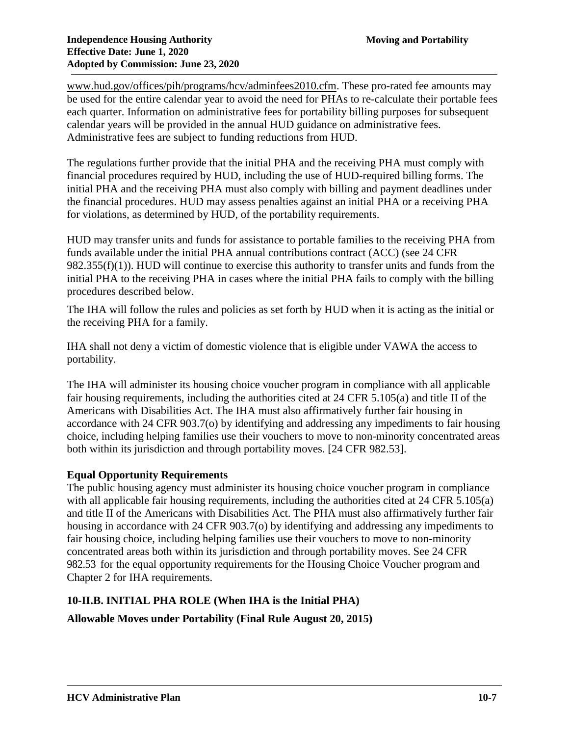[www.hud.gov/offices/pih/programs/hcv/adminfees2010.cfm.](http://www.hud.gov/offices/pih/programs/hcv/adminfees2010.cfm) These pro-rated fee amounts may be used for the entire calendar year to avoid the need for PHAs to re-calculate their portable fees each quarter. Information on administrative fees for portability billing purposes for subsequent calendar years will be provided in the annual HUD guidance on administrative fees. Administrative fees are subject to funding reductions from HUD.

The regulations further provide that the initial PHA and the receiving PHA must comply with financial procedures required by HUD, including the use of HUD-required billing forms. The initial PHA and the receiving PHA must also comply with billing and payment deadlines under the financial procedures. HUD may assess penalties against an initial PHA or a receiving PHA for violations, as determined by HUD, of the portability requirements.

HUD may transfer units and funds for assistance to portable families to the receiving PHA from funds available under the initial PHA annual contributions contract (ACC) (see 24 CFR 982.355(f)(1)). HUD will continue to exercise this authority to transfer units and funds from the initial PHA to the receiving PHA in cases where the initial PHA fails to comply with the billing procedures described below.

The IHA will follow the rules and policies as set forth by HUD when it is acting as the initial or the receiving PHA for a family.

IHA shall not deny a victim of domestic violence that is eligible under VAWA the access to portability.

The IHA will administer its housing choice voucher program in compliance with all applicable fair housing requirements, including the authorities cited at 24 CFR 5.105(a) and title II of the Americans with Disabilities Act. The IHA must also affirmatively further fair housing in accordance with 24 CFR 903.7(o) by identifying and addressing any impediments to fair housing choice, including helping families use their vouchers to move to non-minority concentrated areas both within its jurisdiction and through portability moves. [24 CFR 982.53].

# **Equal Opportunity Requirements**

The public housing agency must administer its housing choice voucher program in compliance with all applicable fair housing requirements, including the authorities cited at 24 CFR 5.105(a) and title II of the Americans with Disabilities Act. The PHA must also affirmatively further fair housing in accordance with 24 CFR 903.7(o) by identifying and addressing any impediments to fair housing choice, including helping families use their vouchers to move to non-minority concentrated areas both within its jurisdiction and through portability moves. See 24 CFR 982.53 for the equal opportunity requirements for the Housing Choice Voucher program and Chapter 2 for IHA requirements.

# **10-II.B. INITIAL PHA ROLE (When IHA is the Initial PHA)**

**Allowable Moves under Portability (Final Rule August 20, 2015)**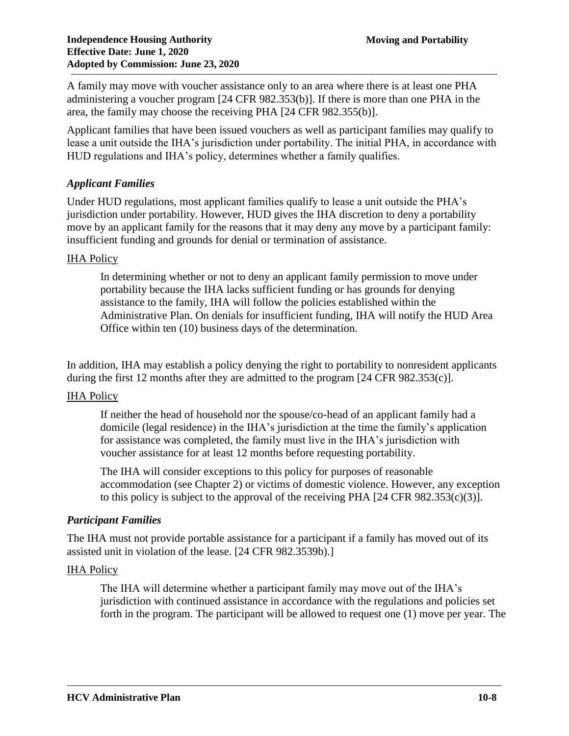A family may move with voucher assistance only to an area where there is at least one PHA administering a voucher program [24 CFR 982.353(b)]. If there is more than one PHA in the area, the family may choose the receiving PHA [24 CFR 982.355(b)].

Applicant families that have been issued vouchers as well as participant families may qualify to lease a unit outside the IHA's jurisdiction under portability. The initial PHA, in accordance with HUD regulations and IHA's policy, determines whether a family qualifies.

# *Applicant Families*

Under HUD regulations, most applicant families qualify to lease a unit outside the PHA's jurisdiction under portability. However, HUD gives the IHA discretion to deny a portability move by an applicant family for the reasons that it may deny any move by a participant family: insufficient funding and grounds for denial or termination of assistance.

# **IHA Policy**

In determining whether or not to deny an applicant family permission to move under portability because the IHA lacks sufficient funding or has grounds for denying assistance to the family, IHA will follow the policies established within the Administrative Plan. On denials for insufficient funding, IHA will notify the HUD Area Office within ten (10) business days of the determination.

In addition, IHA may establish a policy denying the right to portability to nonresident applicants during the first 12 months after they are admitted to the program [24 CFR 982.353(c)].

# IHA Policy

If neither the head of household nor the spouse/co-head of an applicant family had a domicile (legal residence) in the IHA's jurisdiction at the time the family's application for assistance was completed, the family must live in the IHA's jurisdiction with voucher assistance for at least 12 months before requesting portability.

The IHA will consider exceptions to this policy for purposes of reasonable accommodation (see Chapter 2) or victims of domestic violence. However, any exception to this policy is subject to the approval of the receiving PHA [24 CFR 982.353(c)(3)].

# *Participant Families*

The IHA must not provide portable assistance for a participant if a family has moved out of its assisted unit in violation of the lease. [24 CFR 982.3539b).]

# **IHA Policy**

The IHA will determine whether a participant family may move out of the IHA's jurisdiction with continued assistance in accordance with the regulations and policies set forth in the program. The participant will be allowed to request one (1) move per year. The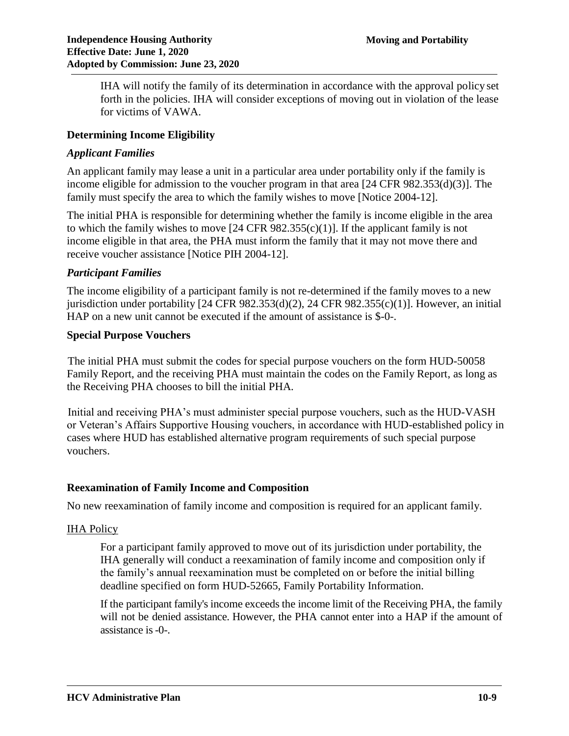IHA will notify the family of its determination in accordance with the approval policy set forth in the policies. IHA will consider exceptions of moving out in violation of the lease for victims of VAWA.

### **Determining Income Eligibility**

### *Applicant Families*

An applicant family may lease a unit in a particular area under portability only if the family is income eligible for admission to the voucher program in that area [24 CFR 982.353(d)(3)]. The family must specify the area to which the family wishes to move [Notice 2004-12].

The initial PHA is responsible for determining whether the family is income eligible in the area to which the family wishes to move  $[24 \text{ CFR } 982.355(c)(1)]$ . If the applicant family is not income eligible in that area, the PHA must inform the family that it may not move there and receive voucher assistance [Notice PIH 2004-12].

#### *Participant Families*

The income eligibility of a participant family is not re-determined if the family moves to a new jurisdiction under portability [24 CFR 982.353(d)(2), 24 CFR 982.355(c)(1)]. However, an initial HAP on a new unit cannot be executed if the amount of assistance is \$-0-.

#### **Special Purpose Vouchers**

The initial PHA must submit the codes for special purpose vouchers on the form HUD-50058 Family Report, and the receiving PHA must maintain the codes on the Family Report, as long as the Receiving PHA chooses to bill the initial PHA.

Initial and receiving PHA's must administer special purpose vouchers, such as the HUD-VASH or Veteran's Affairs Supportive Housing vouchers, in accordance with HUD-established policy in cases where HUD has established alternative program requirements of such special purpose vouchers.

### **Reexamination of Family Income and Composition**

No new reexamination of family income and composition is required for an applicant family.

#### **IHA Policy**

For a participant family approved to move out of its jurisdiction under portability, the IHA generally will conduct a reexamination of family income and composition only if the family's annual reexamination must be completed on or before the initial billing deadline specified on form HUD-52665, Family Portability Information.

If the participant family's income exceeds the income limit of the Receiving PHA, the family will not be denied assistance. However, the PHA cannot enter into a HAP if the amount of assistance is-0-.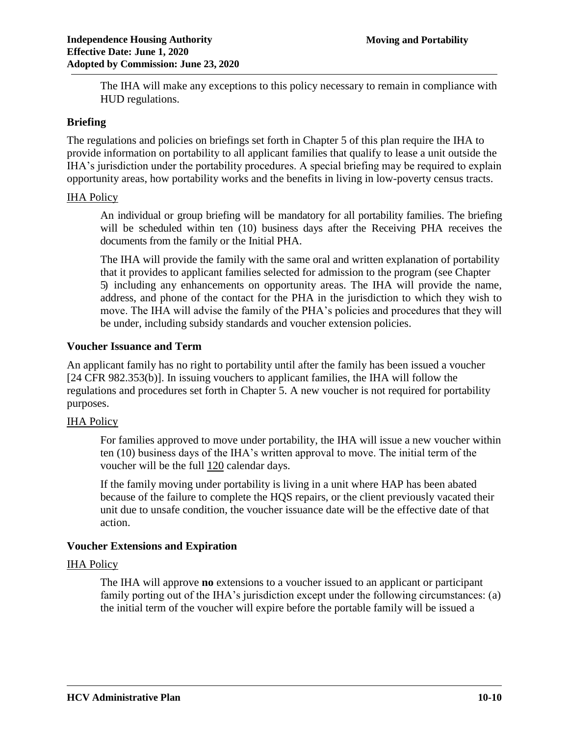The IHA will make any exceptions to this policy necessary to remain in compliance with HUD regulations.

### **Briefing**

The regulations and policies on briefings set forth in Chapter 5 of this plan require the IHA to provide information on portability to all applicant families that qualify to lease a unit outside the IHA's jurisdiction under the portability procedures. A special briefing may be required to explain opportunity areas, how portability works and the benefits in living in low-poverty census tracts.

### **IHA Policy**

An individual or group briefing will be mandatory for all portability families. The briefing will be scheduled within ten (10) business days after the Receiving PHA receives the documents from the family or the Initial PHA.

The IHA will provide the family with the same oral and written explanation of portability that it provides to applicant families selected for admission to the program (see Chapter 5) including any enhancements on opportunity areas. The IHA will provide the name, address, and phone of the contact for the PHA in the jurisdiction to which they wish to move. The IHA will advise the family of the PHA's policies and procedures that they will be under, including subsidy standards and voucher extension policies.

### **Voucher Issuance and Term**

An applicant family has no right to portability until after the family has been issued a voucher [24 CFR 982.353(b)]. In issuing vouchers to applicant families, the IHA will follow the regulations and procedures set forth in Chapter 5. A new voucher is not required for portability purposes.

# IHA Policy

For families approved to move under portability, the IHA will issue a new voucher within ten (10) business days of the IHA's written approval to move. The initial term of the voucher will be the full 120 calendar days.

If the family moving under portability is living in a unit where HAP has been abated because of the failure to complete the HQS repairs, or the client previously vacated their unit due to unsafe condition, the voucher issuance date will be the effective date of that action.

# **Voucher Extensions and Expiration**

### IHA Policy

The IHA will approve **no** extensions to a voucher issued to an applicant or participant family porting out of the IHA's jurisdiction except under the following circumstances: (a) the initial term of the voucher will expire before the portable family will be issued a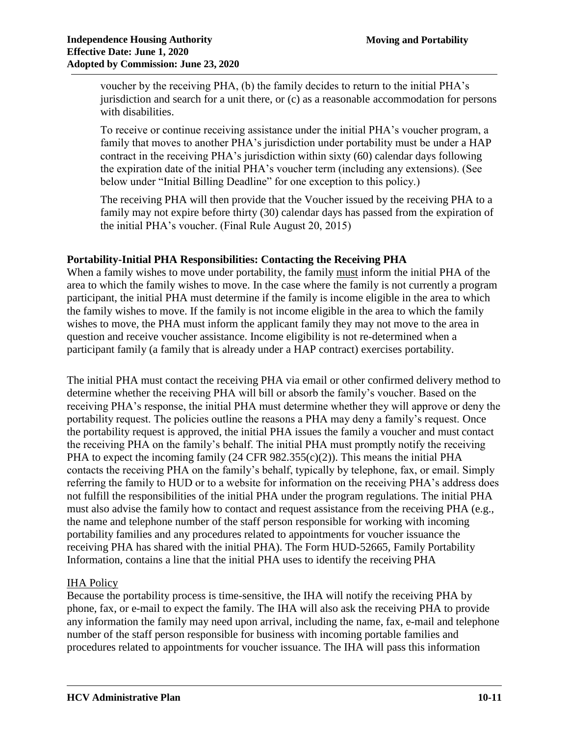voucher by the receiving PHA, (b) the family decides to return to the initial PHA's jurisdiction and search for a unit there, or (c) as a reasonable accommodation for persons with disabilities.

To receive or continue receiving assistance under the initial PHA's voucher program, a family that moves to another PHA's jurisdiction under portability must be under a HAP contract in the receiving PHA's jurisdiction within sixty (60) calendar days following the expiration date of the initial PHA's voucher term (including any extensions). (See below under "Initial Billing Deadline" for one exception to this policy.)

The receiving PHA will then provide that the Voucher issued by the receiving PHA to a family may not expire before thirty (30) calendar days has passed from the expiration of the initial PHA's voucher. (Final Rule August 20, 2015)

# **Portability-Initial PHA Responsibilities: Contacting the Receiving PHA**

When a family wishes to move under portability, the family must inform the initial PHA of the area to which the family wishes to move. In the case where the family is not currently a program participant, the initial PHA must determine if the family is income eligible in the area to which the family wishes to move. If the family is not income eligible in the area to which the family wishes to move, the PHA must inform the applicant family they may not move to the area in question and receive voucher assistance. Income eligibility is not re-determined when a participant family (a family that is already under a HAP contract) exercises portability.

The initial PHA must contact the receiving PHA via email or other confirmed delivery method to determine whether the receiving PHA will bill or absorb the family's voucher. Based on the receiving PHA's response, the initial PHA must determine whether they will approve or deny the portability request. The policies outline the reasons a PHA may deny a family's request. Once the portability request is approved, the initial PHA issues the family a voucher and must contact the receiving PHA on the family's behalf. The initial PHA must promptly notify the receiving PHA to expect the incoming family  $(24 \text{ CFR } 982.355(c)(2))$ . This means the initial PHA contacts the receiving PHA on the family's behalf, typically by telephone, fax, or email. Simply referring the family to HUD or to a website for information on the receiving PHA's address does not fulfill the responsibilities of the initial PHA under the program regulations. The initial PHA must also advise the family how to contact and request assistance from the receiving PHA (e.g., the name and telephone number of the staff person responsible for working with incoming portability families and any procedures related to appointments for voucher issuance the receiving PHA has shared with the initial PHA). The Form HUD-52665, Family Portability Information, contains a line that the initial PHA uses to identify the receiving PHA

# IHA Policy

Because the portability process is time-sensitive, the IHA will notify the receiving PHA by phone, fax, or e-mail to expect the family. The IHA will also ask the receiving PHA to provide any information the family may need upon arrival, including the name, fax, e-mail and telephone number of the staff person responsible for business with incoming portable families and procedures related to appointments for voucher issuance. The IHA will pass this information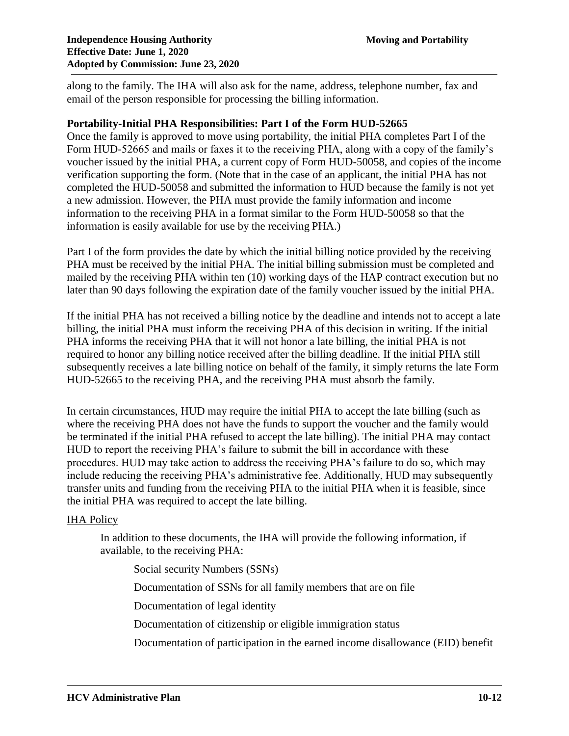along to the family. The IHA will also ask for the name, address, telephone number, fax and email of the person responsible for processing the billing information.

#### **Portability-Initial PHA Responsibilities: Part I of the Form HUD-52665**

Once the family is approved to move using portability, the initial PHA completes Part I of the Form HUD-52665 and mails or faxes it to the receiving PHA, along with a copy of the family's voucher issued by the initial PHA, a current copy of Form HUD-50058, and copies of the income verification supporting the form. (Note that in the case of an applicant, the initial PHA has not completed the HUD-50058 and submitted the information to HUD because the family is not yet a new admission. However, the PHA must provide the family information and income information to the receiving PHA in a format similar to the Form HUD-50058 so that the information is easily available for use by the receiving PHA.)

Part I of the form provides the date by which the initial billing notice provided by the receiving PHA must be received by the initial PHA. The initial billing submission must be completed and mailed by the receiving PHA within ten (10) working days of the HAP contract execution but no later than 90 days following the expiration date of the family voucher issued by the initial PHA.

If the initial PHA has not received a billing notice by the deadline and intends not to accept a late billing, the initial PHA must inform the receiving PHA of this decision in writing. If the initial PHA informs the receiving PHA that it will not honor a late billing, the initial PHA is not required to honor any billing notice received after the billing deadline. If the initial PHA still subsequently receives a late billing notice on behalf of the family, it simply returns the late Form HUD-52665 to the receiving PHA, and the receiving PHA must absorb the family.

In certain circumstances, HUD may require the initial PHA to accept the late billing (such as where the receiving PHA does not have the funds to support the voucher and the family would be terminated if the initial PHA refused to accept the late billing). The initial PHA may contact HUD to report the receiving PHA's failure to submit the bill in accordance with these procedures. HUD may take action to address the receiving PHA's failure to do so, which may include reducing the receiving PHA's administrative fee. Additionally, HUD may subsequently transfer units and funding from the receiving PHA to the initial PHA when it is feasible, since the initial PHA was required to accept the late billing.

#### IHA Policy

In addition to these documents, the IHA will provide the following information, if available, to the receiving PHA:

Social security Numbers (SSNs)

Documentation of SSNs for all family members that are on file

Documentation of legal identity

Documentation of citizenship or eligible immigration status

Documentation of participation in the earned income disallowance (EID) benefit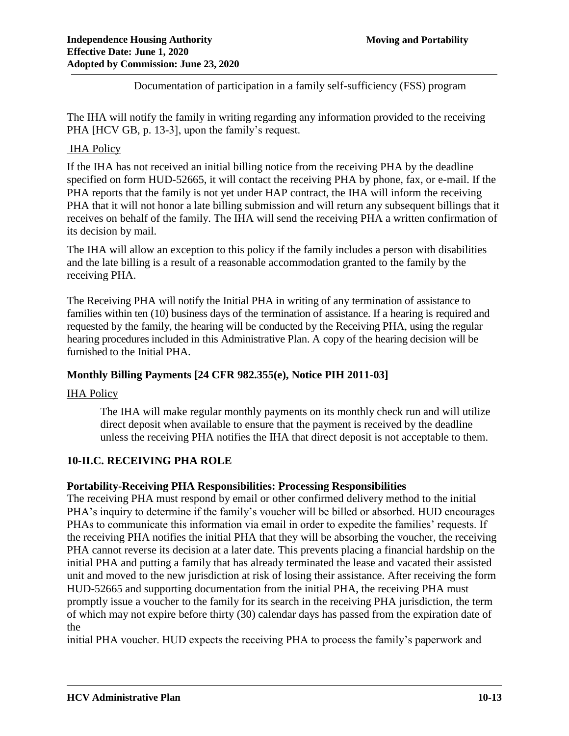Documentation of participation in a family self-sufficiency (FSS) program

The IHA will notify the family in writing regarding any information provided to the receiving PHA [HCV GB, p. 13-3], upon the family's request.

# IHA Policy

If the IHA has not received an initial billing notice from the receiving PHA by the deadline specified on form HUD-52665, it will contact the receiving PHA by phone, fax, or e-mail. If the PHA reports that the family is not yet under HAP contract, the IHA will inform the receiving PHA that it will not honor a late billing submission and will return any subsequent billings that it receives on behalf of the family. The IHA will send the receiving PHA a written confirmation of its decision by mail.

The IHA will allow an exception to this policy if the family includes a person with disabilities and the late billing is a result of a reasonable accommodation granted to the family by the receiving PHA.

The Receiving PHA will notify the Initial PHA in writing of any termination of assistance to families within ten (10) business days of the termination of assistance. If a hearing is required and requested by the family, the hearing will be conducted by the Receiving PHA, using the regular hearing procedures included in this Administrative Plan. A copy of the hearing decision will be furnished to the Initial PHA.

# **Monthly Billing Payments [24 CFR 982.355(e), Notice PIH 2011-03]**

### **IHA Policy**

The IHA will make regular monthly payments on its monthly check run and will utilize direct deposit when available to ensure that the payment is received by the deadline unless the receiving PHA notifies the IHA that direct deposit is not acceptable to them.

# **10-II.C. RECEIVING PHA ROLE**

### **Portability-Receiving PHA Responsibilities: Processing Responsibilities**

The receiving PHA must respond by email or other confirmed delivery method to the initial PHA's inquiry to determine if the family's voucher will be billed or absorbed. HUD encourages PHAs to communicate this information via email in order to expedite the families' requests. If the receiving PHA notifies the initial PHA that they will be absorbing the voucher, the receiving PHA cannot reverse its decision at a later date. This prevents placing a financial hardship on the initial PHA and putting a family that has already terminated the lease and vacated their assisted unit and moved to the new jurisdiction at risk of losing their assistance. After receiving the form HUD-52665 and supporting documentation from the initial PHA, the receiving PHA must promptly issue a voucher to the family for its search in the receiving PHA jurisdiction, the term of which may not expire before thirty (30) calendar days has passed from the expiration date of the

initial PHA voucher. HUD expects the receiving PHA to process the family's paperwork and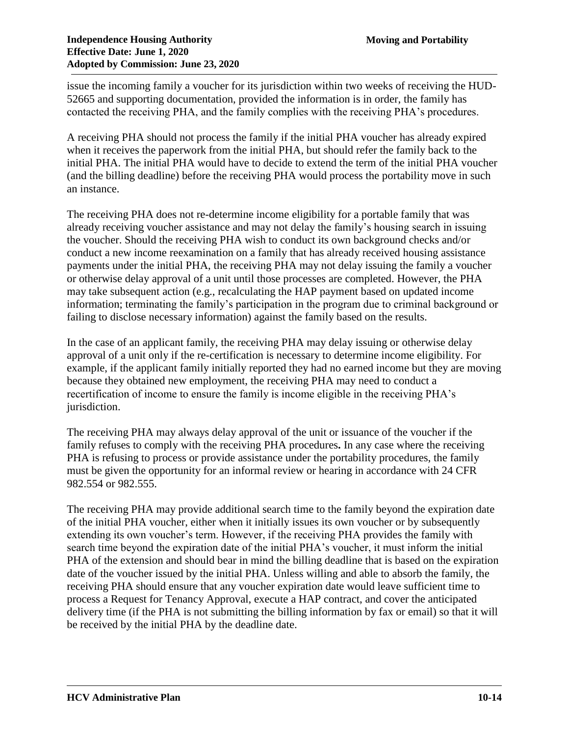issue the incoming family a voucher for its jurisdiction within two weeks of receiving the HUD-52665 and supporting documentation, provided the information is in order, the family has contacted the receiving PHA, and the family complies with the receiving PHA's procedures.

A receiving PHA should not process the family if the initial PHA voucher has already expired when it receives the paperwork from the initial PHA, but should refer the family back to the initial PHA. The initial PHA would have to decide to extend the term of the initial PHA voucher (and the billing deadline) before the receiving PHA would process the portability move in such an instance.

The receiving PHA does not re-determine income eligibility for a portable family that was already receiving voucher assistance and may not delay the family's housing search in issuing the voucher. Should the receiving PHA wish to conduct its own background checks and/or conduct a new income reexamination on a family that has already received housing assistance payments under the initial PHA, the receiving PHA may not delay issuing the family a voucher or otherwise delay approval of a unit until those processes are completed. However, the PHA may take subsequent action (e.g., recalculating the HAP payment based on updated income information; terminating the family's participation in the program due to criminal background or failing to disclose necessary information) against the family based on the results.

In the case of an applicant family, the receiving PHA may delay issuing or otherwise delay approval of a unit only if the re-certification is necessary to determine income eligibility. For example, if the applicant family initially reported they had no earned income but they are moving because they obtained new employment, the receiving PHA may need to conduct a recertification of income to ensure the family is income eligible in the receiving PHA's jurisdiction.

The receiving PHA may always delay approval of the unit or issuance of the voucher if the family refuses to comply with the receiving PHA procedures**.** In any case where the receiving PHA is refusing to process or provide assistance under the portability procedures, the family must be given the opportunity for an informal review or hearing in accordance with 24 CFR 982.554 or 982.555.

The receiving PHA may provide additional search time to the family beyond the expiration date of the initial PHA voucher, either when it initially issues its own voucher or by subsequently extending its own voucher's term. However, if the receiving PHA provides the family with search time beyond the expiration date of the initial PHA's voucher, it must inform the initial PHA of the extension and should bear in mind the billing deadline that is based on the expiration date of the voucher issued by the initial PHA. Unless willing and able to absorb the family, the receiving PHA should ensure that any voucher expiration date would leave sufficient time to process a Request for Tenancy Approval, execute a HAP contract, and cover the anticipated delivery time (if the PHA is not submitting the billing information by fax or email) so that it will be received by the initial PHA by the deadline date.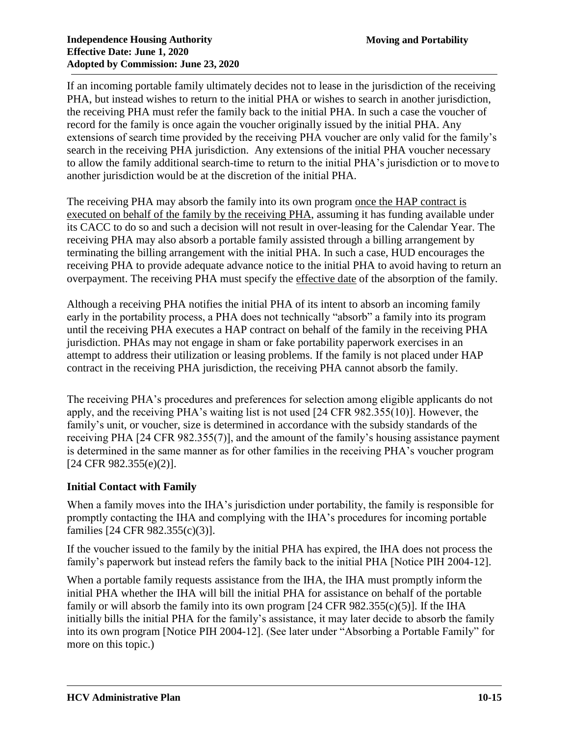If an incoming portable family ultimately decides not to lease in the jurisdiction of the receiving PHA, but instead wishes to return to the initial PHA or wishes to search in another jurisdiction, the receiving PHA must refer the family back to the initial PHA. In such a case the voucher of record for the family is once again the voucher originally issued by the initial PHA. Any extensions of search time provided by the receiving PHA voucher are only valid for the family's search in the receiving PHA jurisdiction. Any extensions of the initial PHA voucher necessary to allow the family additional search-time to return to the initial PHA's jurisdiction or to move to another jurisdiction would be at the discretion of the initial PHA.

The receiving PHA may absorb the family into its own program once the HAP contract is executed on behalf of the family by the receiving PHA, assuming it has funding available under its CACC to do so and such a decision will not result in over-leasing for the Calendar Year. The receiving PHA may also absorb a portable family assisted through a billing arrangement by terminating the billing arrangement with the initial PHA. In such a case, HUD encourages the receiving PHA to provide adequate advance notice to the initial PHA to avoid having to return an overpayment. The receiving PHA must specify the effective date of the absorption of the family.

Although a receiving PHA notifies the initial PHA of its intent to absorb an incoming family early in the portability process, a PHA does not technically "absorb" a family into its program until the receiving PHA executes a HAP contract on behalf of the family in the receiving PHA jurisdiction. PHAs may not engage in sham or fake portability paperwork exercises in an attempt to address their utilization or leasing problems. If the family is not placed under HAP contract in the receiving PHA jurisdiction, the receiving PHA cannot absorb the family.

The receiving PHA's procedures and preferences for selection among eligible applicants do not apply, and the receiving PHA's waiting list is not used [24 CFR 982.355(10)]. However, the family's unit, or voucher, size is determined in accordance with the subsidy standards of the receiving PHA [24 CFR 982.355(7)], and the amount of the family's housing assistance payment is determined in the same manner as for other families in the receiving PHA's voucher program [24 CFR 982.355(e)(2)].

# **Initial Contact with Family**

When a family moves into the IHA's jurisdiction under portability, the family is responsible for promptly contacting the IHA and complying with the IHA's procedures for incoming portable families [24 CFR 982.355(c)(3)].

If the voucher issued to the family by the initial PHA has expired, the IHA does not process the family's paperwork but instead refers the family back to the initial PHA [Notice PIH 2004-12].

When a portable family requests assistance from the IHA, the IHA must promptly inform the initial PHA whether the IHA will bill the initial PHA for assistance on behalf of the portable family or will absorb the family into its own program  $[24 \text{ CFR } 982.355(c)(5)]$ . If the IHA initially bills the initial PHA for the family's assistance, it may later decide to absorb the family into its own program [Notice PIH 2004-12]. (See later under "Absorbing a Portable Family" for more on this topic.)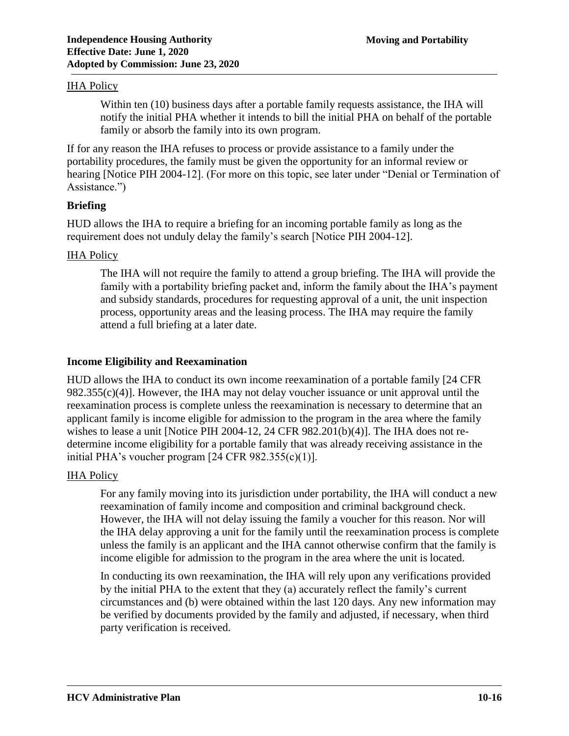### **IHA Policy**

Within ten (10) business days after a portable family requests assistance, the IHA will notify the initial PHA whether it intends to bill the initial PHA on behalf of the portable family or absorb the family into its own program.

If for any reason the IHA refuses to process or provide assistance to a family under the portability procedures, the family must be given the opportunity for an informal review or hearing [Notice PIH 2004-12]. (For more on this topic, see later under "Denial or Termination of Assistance.")

### **Briefing**

HUD allows the IHA to require a briefing for an incoming portable family as long as the requirement does not unduly delay the family's search [Notice PIH 2004-12].

### IHA Policy

The IHA will not require the family to attend a group briefing. The IHA will provide the family with a portability briefing packet and, inform the family about the IHA's payment and subsidy standards, procedures for requesting approval of a unit, the unit inspection process, opportunity areas and the leasing process. The IHA may require the family attend a full briefing at a later date.

### **Income Eligibility and Reexamination**

HUD allows the IHA to conduct its own income reexamination of a portable family [24 CFR  $982.355(c)(4)$ ]. However, the IHA may not delay voucher issuance or unit approval until the reexamination process is complete unless the reexamination is necessary to determine that an applicant family is income eligible for admission to the program in the area where the family wishes to lease a unit [Notice PIH 2004-12, 24 CFR 982.201(b)(4)]. The IHA does not redetermine income eligibility for a portable family that was already receiving assistance in the initial PHA's voucher program  $[24 \text{ CFR } 982.355(c)(1)].$ 

### IHA Policy

For any family moving into its jurisdiction under portability, the IHA will conduct a new reexamination of family income and composition and criminal background check. However, the IHA will not delay issuing the family a voucher for this reason. Nor will the IHA delay approving a unit for the family until the reexamination process is complete unless the family is an applicant and the IHA cannot otherwise confirm that the family is income eligible for admission to the program in the area where the unit is located.

In conducting its own reexamination, the IHA will rely upon any verifications provided by the initial PHA to the extent that they (a) accurately reflect the family's current circumstances and (b) were obtained within the last 120 days. Any new information may be verified by documents provided by the family and adjusted, if necessary, when third party verification is received.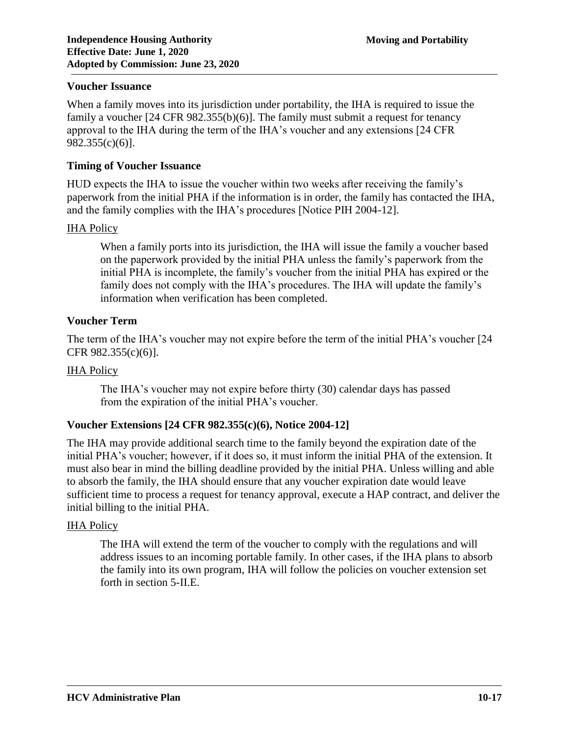### **Voucher Issuance**

When a family moves into its jurisdiction under portability, the IHA is required to issue the family a voucher [24 CFR 982.355(b)(6)]. The family must submit a request for tenancy approval to the IHA during the term of the IHA's voucher and any extensions [24 CFR 982.355(c)(6)].

### **Timing of Voucher Issuance**

HUD expects the IHA to issue the voucher within two weeks after receiving the family's paperwork from the initial PHA if the information is in order, the family has contacted the IHA, and the family complies with the IHA's procedures [Notice PIH 2004-12].

#### IHA Policy

When a family ports into its jurisdiction, the IHA will issue the family a voucher based on the paperwork provided by the initial PHA unless the family's paperwork from the initial PHA is incomplete, the family's voucher from the initial PHA has expired or the family does not comply with the IHA's procedures. The IHA will update the family's information when verification has been completed.

### **Voucher Term**

The term of the IHA's voucher may not expire before the term of the initial PHA's voucher [24 CFR 982.355(c)(6)].

#### **IHA Policy**

The IHA's voucher may not expire before thirty (30) calendar days has passed from the expiration of the initial PHA's voucher.

### **Voucher Extensions [24 CFR 982.355(c)(6), Notice 2004-12]**

The IHA may provide additional search time to the family beyond the expiration date of the initial PHA's voucher; however, if it does so, it must inform the initial PHA of the extension. It must also bear in mind the billing deadline provided by the initial PHA. Unless willing and able to absorb the family, the IHA should ensure that any voucher expiration date would leave sufficient time to process a request for tenancy approval, execute a HAP contract, and deliver the initial billing to the initial PHA.

#### IHA Policy

The IHA will extend the term of the voucher to comply with the regulations and will address issues to an incoming portable family. In other cases, if the IHA plans to absorb the family into its own program, IHA will follow the policies on voucher extension set forth in section 5-II.E.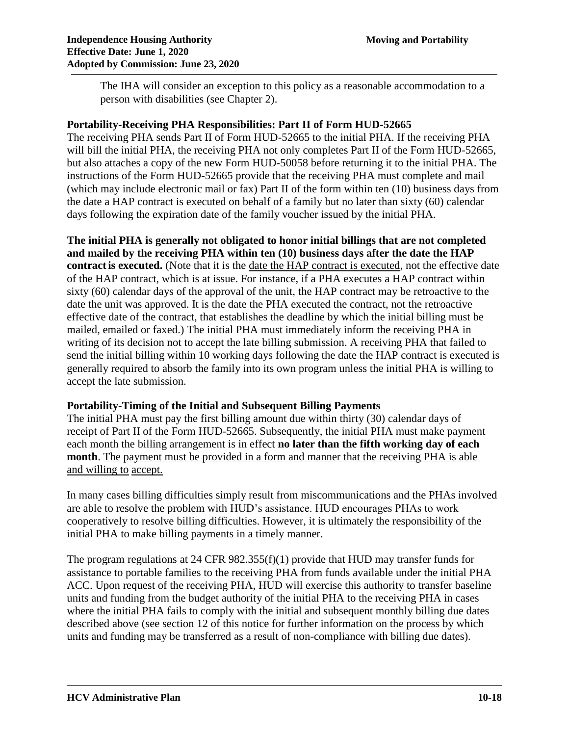The IHA will consider an exception to this policy as a reasonable accommodation to a person with disabilities (see Chapter 2).

### **Portability-Receiving PHA Responsibilities: Part II of Form HUD-52665**

The receiving PHA sends Part II of Form HUD-52665 to the initial PHA. If the receiving PHA will bill the initial PHA, the receiving PHA not only completes Part II of the Form HUD-52665, but also attaches a copy of the new Form HUD-50058 before returning it to the initial PHA. The instructions of the Form HUD-52665 provide that the receiving PHA must complete and mail (which may include electronic mail or fax) Part II of the form within ten (10) business days from the date a HAP contract is executed on behalf of a family but no later than sixty (60) calendar days following the expiration date of the family voucher issued by the initial PHA.

**The initial PHA is generally not obligated to honor initial billings that are not completed and mailed by the receiving PHA within ten (10) business days after the date the HAP contractis executed.** (Note that it is the date the HAP contract is executed, not the effective date of the HAP contract, which is at issue. For instance, if a PHA executes a HAP contract within sixty (60) calendar days of the approval of the unit, the HAP contract may be retroactive to the date the unit was approved. It is the date the PHA executed the contract, not the retroactive effective date of the contract, that establishes the deadline by which the initial billing must be mailed, emailed or faxed.) The initial PHA must immediately inform the receiving PHA in writing of its decision not to accept the late billing submission. A receiving PHA that failed to send the initial billing within 10 working days following the date the HAP contract is executed is generally required to absorb the family into its own program unless the initial PHA is willing to accept the late submission.

### **Portability-Timing of the Initial and Subsequent Billing Payments**

The initial PHA must pay the first billing amount due within thirty (30) calendar days of receipt of Part II of the Form HUD-52665. Subsequently, the initial PHA must make payment each month the billing arrangement is in effect **no later than the fifth working day of each month**. The payment must be provided in a form and manner that the receiving PHA is able and willing to accept.

In many cases billing difficulties simply result from miscommunications and the PHAs involved are able to resolve the problem with HUD's assistance. HUD encourages PHAs to work cooperatively to resolve billing difficulties. However, it is ultimately the responsibility of the initial PHA to make billing payments in a timely manner.

The program regulations at 24 CFR  $982.355(f)(1)$  provide that HUD may transfer funds for assistance to portable families to the receiving PHA from funds available under the initial PHA ACC. Upon request of the receiving PHA, HUD will exercise this authority to transfer baseline units and funding from the budget authority of the initial PHA to the receiving PHA in cases where the initial PHA fails to comply with the initial and subsequent monthly billing due dates described above (see section 12 of this notice for further information on the process by which units and funding may be transferred as a result of non-compliance with billing due dates).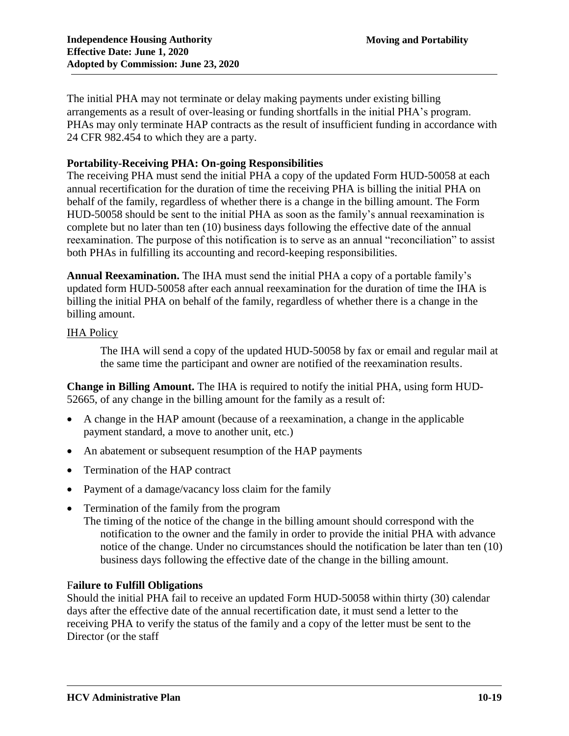The initial PHA may not terminate or delay making payments under existing billing arrangements as a result of over-leasing or funding shortfalls in the initial PHA's program. PHAs may only terminate HAP contracts as the result of insufficient funding in accordance with 24 CFR 982.454 to which they are a party.

### **Portability-Receiving PHA: On-going Responsibilities**

The receiving PHA must send the initial PHA a copy of the updated Form HUD-50058 at each annual recertification for the duration of time the receiving PHA is billing the initial PHA on behalf of the family, regardless of whether there is a change in the billing amount. The Form HUD-50058 should be sent to the initial PHA as soon as the family's annual reexamination is complete but no later than ten (10) business days following the effective date of the annual reexamination. The purpose of this notification is to serve as an annual "reconciliation" to assist both PHAs in fulfilling its accounting and record-keeping responsibilities.

**Annual Reexamination.** The IHA must send the initial PHA a copy of a portable family's updated form HUD-50058 after each annual reexamination for the duration of time the IHA is billing the initial PHA on behalf of the family, regardless of whether there is a change in the billing amount.

### IHA Policy

The IHA will send a copy of the updated HUD-50058 by fax or email and regular mail at the same time the participant and owner are notified of the reexamination results.

**Change in Billing Amount.** The IHA is required to notify the initial PHA, using form HUD-52665, of any change in the billing amount for the family as a result of:

- A change in the HAP amount (because of a reexamination, a change in the applicable payment standard, a move to another unit, etc.)
- An abatement or subsequent resumption of the HAP payments
- Termination of the HAP contract
- Payment of a damage/vacancy loss claim for the family
- Termination of the family from the program
	- The timing of the notice of the change in the billing amount should correspond with the notification to the owner and the family in order to provide the initial PHA with advance notice of the change. Under no circumstances should the notification be later than ten (10) business days following the effective date of the change in the billing amount.

### F**ailure to Fulfill Obligations**

Should the initial PHA fail to receive an updated Form HUD-50058 within thirty (30) calendar days after the effective date of the annual recertification date, it must send a letter to the receiving PHA to verify the status of the family and a copy of the letter must be sent to the Director (or the staff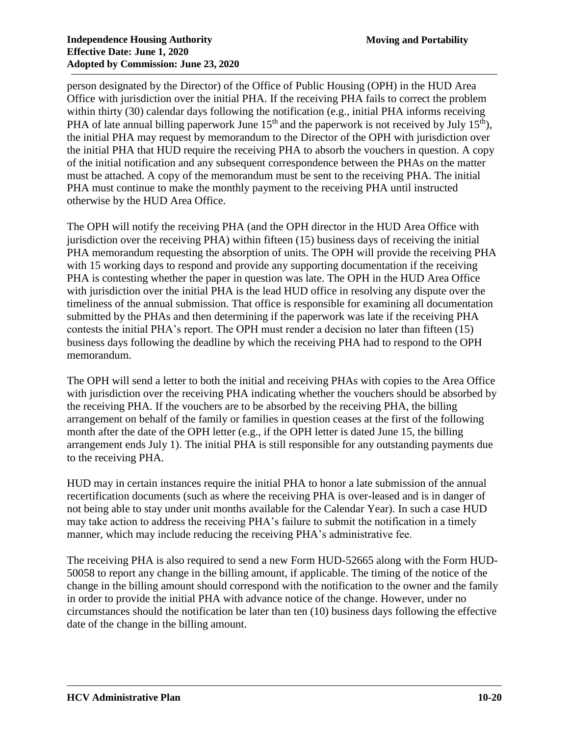person designated by the Director) of the Office of Public Housing (OPH) in the HUD Area Office with jurisdiction over the initial PHA. If the receiving PHA fails to correct the problem within thirty (30) calendar days following the notification (e.g., initial PHA informs receiving PHA of late annual billing paperwork June  $15<sup>th</sup>$  and the paperwork is not received by July  $15<sup>th</sup>$ ), the initial PHA may request by memorandum to the Director of the OPH with jurisdiction over the initial PHA that HUD require the receiving PHA to absorb the vouchers in question. A copy of the initial notification and any subsequent correspondence between the PHAs on the matter must be attached. A copy of the memorandum must be sent to the receiving PHA. The initial PHA must continue to make the monthly payment to the receiving PHA until instructed otherwise by the HUD Area Office.

The OPH will notify the receiving PHA (and the OPH director in the HUD Area Office with jurisdiction over the receiving PHA) within fifteen (15) business days of receiving the initial PHA memorandum requesting the absorption of units. The OPH will provide the receiving PHA with 15 working days to respond and provide any supporting documentation if the receiving PHA is contesting whether the paper in question was late. The OPH in the HUD Area Office with jurisdiction over the initial PHA is the lead HUD office in resolving any dispute over the timeliness of the annual submission. That office is responsible for examining all documentation submitted by the PHAs and then determining if the paperwork was late if the receiving PHA contests the initial PHA's report. The OPH must render a decision no later than fifteen (15) business days following the deadline by which the receiving PHA had to respond to the OPH memorandum.

The OPH will send a letter to both the initial and receiving PHAs with copies to the Area Office with jurisdiction over the receiving PHA indicating whether the vouchers should be absorbed by the receiving PHA. If the vouchers are to be absorbed by the receiving PHA, the billing arrangement on behalf of the family or families in question ceases at the first of the following month after the date of the OPH letter (e.g., if the OPH letter is dated June 15, the billing arrangement ends July 1). The initial PHA is still responsible for any outstanding payments due to the receiving PHA.

HUD may in certain instances require the initial PHA to honor a late submission of the annual recertification documents (such as where the receiving PHA is over-leased and is in danger of not being able to stay under unit months available for the Calendar Year). In such a case HUD may take action to address the receiving PHA's failure to submit the notification in a timely manner, which may include reducing the receiving PHA's administrative fee.

The receiving PHA is also required to send a new Form HUD-52665 along with the Form HUD-50058 to report any change in the billing amount, if applicable. The timing of the notice of the change in the billing amount should correspond with the notification to the owner and the family in order to provide the initial PHA with advance notice of the change. However, under no circumstances should the notification be later than ten (10) business days following the effective date of the change in the billing amount.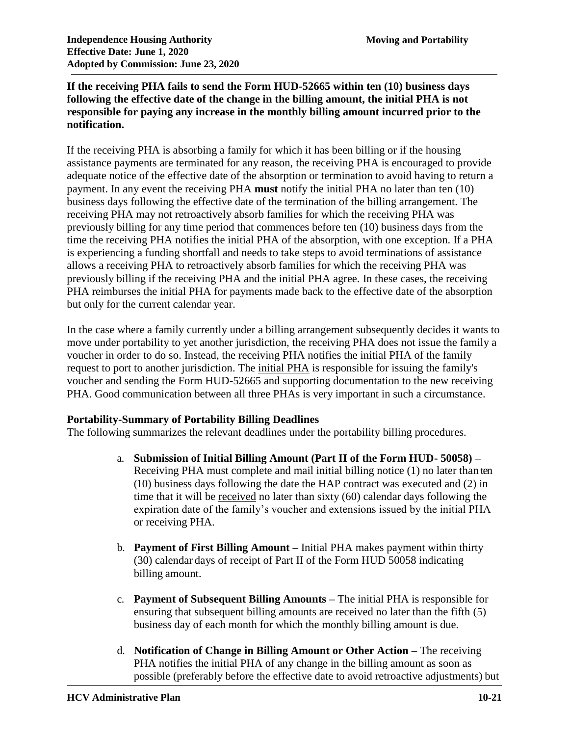### **If the receiving PHA fails to send the Form HUD-52665 within ten (10) business days following the effective date of the change in the billing amount, the initial PHA is not responsible for paying any increase in the monthly billing amount incurred prior to the notification.**

If the receiving PHA is absorbing a family for which it has been billing or if the housing assistance payments are terminated for any reason, the receiving PHA is encouraged to provide adequate notice of the effective date of the absorption or termination to avoid having to return a payment. In any event the receiving PHA **must** notify the initial PHA no later than ten (10) business days following the effective date of the termination of the billing arrangement. The receiving PHA may not retroactively absorb families for which the receiving PHA was previously billing for any time period that commences before ten (10) business days from the time the receiving PHA notifies the initial PHA of the absorption, with one exception. If a PHA is experiencing a funding shortfall and needs to take steps to avoid terminations of assistance allows a receiving PHA to retroactively absorb families for which the receiving PHA was previously billing if the receiving PHA and the initial PHA agree. In these cases, the receiving PHA reimburses the initial PHA for payments made back to the effective date of the absorption but only for the current calendar year.

In the case where a family currently under a billing arrangement subsequently decides it wants to move under portability to yet another jurisdiction, the receiving PHA does not issue the family a voucher in order to do so. Instead, the receiving PHA notifies the initial PHA of the family request to port to another jurisdiction. The initial PHA is responsible for issuing the family's voucher and sending the Form HUD-52665 and supporting documentation to the new receiving PHA. Good communication between all three PHAs is very important in such a circumstance.

# **Portability-Summary of Portability Billing Deadlines**

The following summarizes the relevant deadlines under the portability billing procedures.

- a. **Submission of Initial Billing Amount (Part II of the Form HUD- 50058) –** Receiving PHA must complete and mail initial billing notice (1) no later than ten (10) business days following the date the HAP contract was executed and (2) in time that it will be received no later than sixty (60) calendar days following the expiration date of the family's voucher and extensions issued by the initial PHA or receiving PHA.
- b. **Payment of First Billing Amount –** Initial PHA makes payment within thirty (30) calendar days of receipt of Part II of the Form HUD 50058 indicating billing amount.
- c. **Payment of Subsequent Billing Amounts –** The initial PHA is responsible for ensuring that subsequent billing amounts are received no later than the fifth (5) business day of each month for which the monthly billing amount is due.
- d. **Notification of Change in Billing Amount or Other Action –** The receiving PHA notifies the initial PHA of any change in the billing amount as soon as possible (preferably before the effective date to avoid retroactive adjustments) but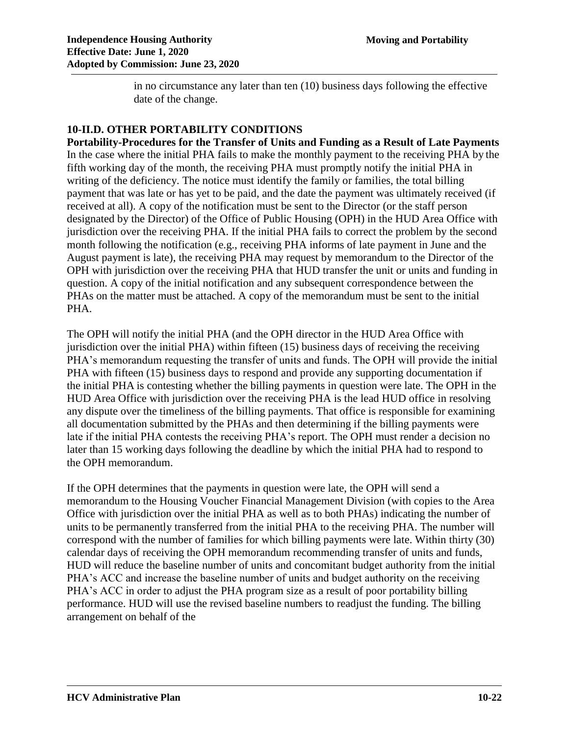in no circumstance any later than ten (10) business days following the effective date of the change.

### **10-II.D. OTHER PORTABILITY CONDITIONS**

**Portability-Procedures for the Transfer of Units and Funding as a Result of Late Payments**  In the case where the initial PHA fails to make the monthly payment to the receiving PHA by the fifth working day of the month, the receiving PHA must promptly notify the initial PHA in writing of the deficiency. The notice must identify the family or families, the total billing payment that was late or has yet to be paid, and the date the payment was ultimately received (if received at all). A copy of the notification must be sent to the Director (or the staff person designated by the Director) of the Office of Public Housing (OPH) in the HUD Area Office with jurisdiction over the receiving PHA. If the initial PHA fails to correct the problem by the second month following the notification (e.g., receiving PHA informs of late payment in June and the August payment is late), the receiving PHA may request by memorandum to the Director of the OPH with jurisdiction over the receiving PHA that HUD transfer the unit or units and funding in question. A copy of the initial notification and any subsequent correspondence between the PHAs on the matter must be attached. A copy of the memorandum must be sent to the initial PHA.

The OPH will notify the initial PHA (and the OPH director in the HUD Area Office with jurisdiction over the initial PHA) within fifteen (15) business days of receiving the receiving PHA's memorandum requesting the transfer of units and funds. The OPH will provide the initial PHA with fifteen (15) business days to respond and provide any supporting documentation if the initial PHA is contesting whether the billing payments in question were late. The OPH in the HUD Area Office with jurisdiction over the receiving PHA is the lead HUD office in resolving any dispute over the timeliness of the billing payments. That office is responsible for examining all documentation submitted by the PHAs and then determining if the billing payments were late if the initial PHA contests the receiving PHA's report. The OPH must render a decision no later than 15 working days following the deadline by which the initial PHA had to respond to the OPH memorandum.

If the OPH determines that the payments in question were late, the OPH will send a memorandum to the Housing Voucher Financial Management Division (with copies to the Area Office with jurisdiction over the initial PHA as well as to both PHAs) indicating the number of units to be permanently transferred from the initial PHA to the receiving PHA. The number will correspond with the number of families for which billing payments were late. Within thirty (30) calendar days of receiving the OPH memorandum recommending transfer of units and funds, HUD will reduce the baseline number of units and concomitant budget authority from the initial PHA's ACC and increase the baseline number of units and budget authority on the receiving PHA's ACC in order to adjust the PHA program size as a result of poor portability billing performance. HUD will use the revised baseline numbers to readjust the funding. The billing arrangement on behalf of the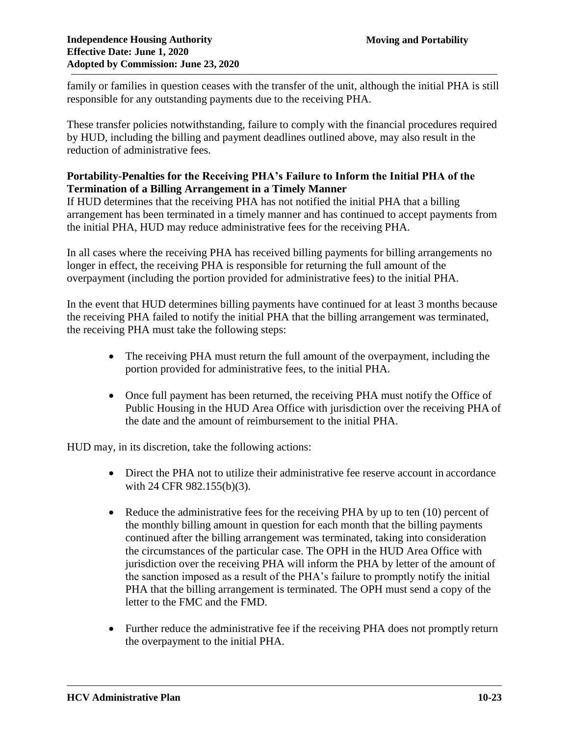family or families in question ceases with the transfer of the unit, although the initial PHA is still responsible for any outstanding payments due to the receiving PHA.

These transfer policies notwithstanding, failure to comply with the financial procedures required by HUD, including the billing and payment deadlines outlined above, may also result in the reduction of administrative fees.

### **Portability-Penalties for the Receiving PHA's Failure to Inform the Initial PHA of the Termination of a Billing Arrangement in a Timely Manner**

If HUD determines that the receiving PHA has not notified the initial PHA that a billing arrangement has been terminated in a timely manner and has continued to accept payments from the initial PHA, HUD may reduce administrative fees for the receiving PHA.

In all cases where the receiving PHA has received billing payments for billing arrangements no longer in effect, the receiving PHA is responsible for returning the full amount of the overpayment (including the portion provided for administrative fees) to the initial PHA.

In the event that HUD determines billing payments have continued for at least 3 months because the receiving PHA failed to notify the initial PHA that the billing arrangement was terminated, the receiving PHA must take the following steps:

- The receiving PHA must return the full amount of the overpayment, including the portion provided for administrative fees, to the initial PHA.
- Once full payment has been returned, the receiving PHA must notify the Office of Public Housing in the HUD Area Office with jurisdiction over the receiving PHA of the date and the amount of reimbursement to the initial PHA.

HUD may, in its discretion, take the following actions:

- Direct the PHA not to utilize their administrative fee reserve account in accordance with 24 CFR 982.155(b)(3).
- Reduce the administrative fees for the receiving PHA by up to ten (10) percent of the monthly billing amount in question for each month that the billing payments continued after the billing arrangement was terminated, taking into consideration the circumstances of the particular case. The OPH in the HUD Area Office with jurisdiction over the receiving PHA will inform the PHA by letter of the amount of the sanction imposed as a result of the PHA's failure to promptly notify the initial PHA that the billing arrangement is terminated. The OPH must send a copy of the letter to the FMC and the FMD.
- Further reduce the administrative fee if the receiving PHA does not promptly return the overpayment to the initial PHA.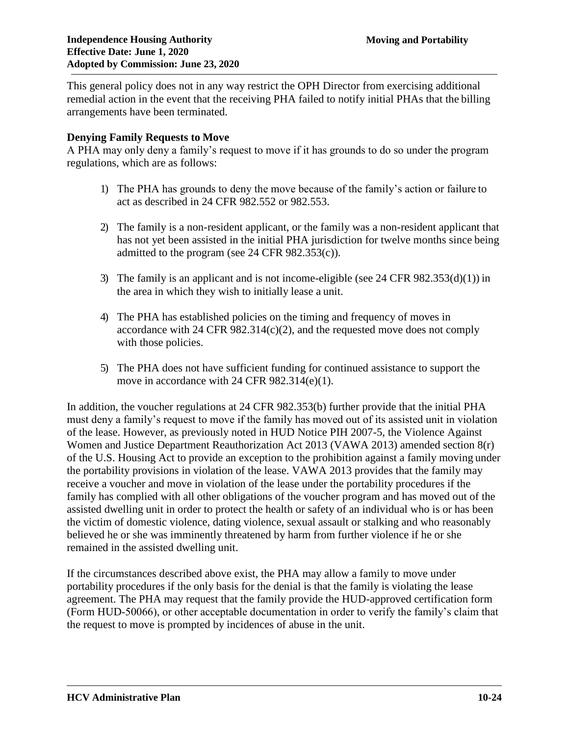This general policy does not in any way restrict the OPH Director from exercising additional remedial action in the event that the receiving PHA failed to notify initial PHAs that the billing arrangements have been terminated.

### **Denying Family Requests to Move**

A PHA may only deny a family's request to move if it has grounds to do so under the program regulations, which are as follows:

- 1) The PHA has grounds to deny the move because of the family's action or failure to act as described in 24 CFR 982.552 or 982.553.
- 2) The family is a non-resident applicant, or the family was a non-resident applicant that has not yet been assisted in the initial PHA jurisdiction for twelve months since being admitted to the program (see  $24$  CFR  $982.353(c)$ ).
- 3) The family is an applicant and is not income-eligible (see 24 CFR 982.353(d)(1)) in the area in which they wish to initially lease a unit.
- 4) The PHA has established policies on the timing and frequency of moves in accordance with 24 CFR  $982.314(c)(2)$ , and the requested move does not comply with those policies.
- 5) The PHA does not have sufficient funding for continued assistance to support the move in accordance with 24 CFR 982.314(e)(1).

In addition, the voucher regulations at 24 CFR 982.353(b) further provide that the initial PHA must deny a family's request to move if the family has moved out of its assisted unit in violation of the lease. However, as previously noted in HUD Notice PIH 2007-5, the Violence Against Women and Justice Department Reauthorization Act 2013 (VAWA 2013) amended section 8(r) of the U.S. Housing Act to provide an exception to the prohibition against a family moving under the portability provisions in violation of the lease. VAWA 2013 provides that the family may receive a voucher and move in violation of the lease under the portability procedures if the family has complied with all other obligations of the voucher program and has moved out of the assisted dwelling unit in order to protect the health or safety of an individual who is or has been the victim of domestic violence, dating violence, sexual assault or stalking and who reasonably believed he or she was imminently threatened by harm from further violence if he or she remained in the assisted dwelling unit.

If the circumstances described above exist, the PHA may allow a family to move under portability procedures if the only basis for the denial is that the family is violating the lease agreement. The PHA may request that the family provide the HUD-approved certification form (Form HUD-50066), or other acceptable documentation in order to verify the family's claim that the request to move is prompted by incidences of abuse in the unit.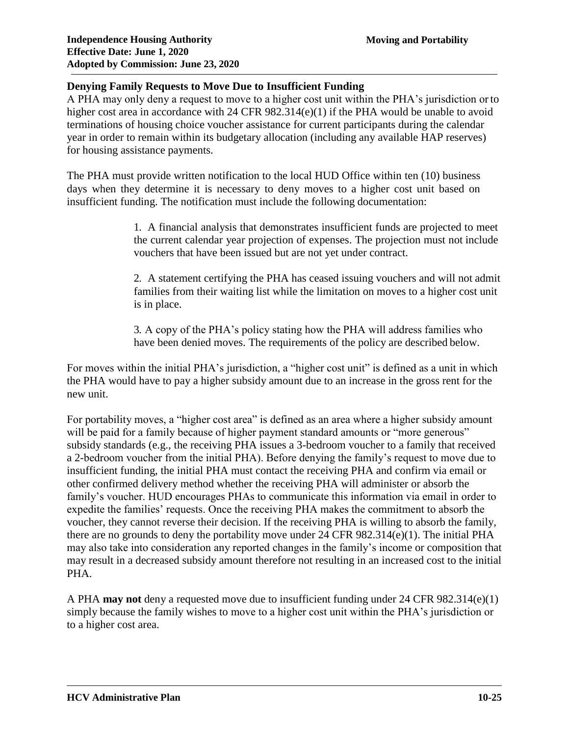# **Denying Family Requests to Move Due to Insufficient Funding**

A PHA may only deny a request to move to a higher cost unit within the PHA's jurisdiction or to higher cost area in accordance with 24 CFR 982.314(e)(1) if the PHA would be unable to avoid terminations of housing choice voucher assistance for current participants during the calendar year in order to remain within its budgetary allocation (including any available HAP reserves) for housing assistance payments.

The PHA must provide written notification to the local HUD Office within ten (10) business days when they determine it is necessary to deny moves to a higher cost unit based on insufficient funding. The notification must include the following documentation:

> 1. A financial analysis that demonstrates insufficient funds are projected to meet the current calendar year projection of expenses. The projection must not include vouchers that have been issued but are not yet under contract.

> 2. A statement certifying the PHA has ceased issuing vouchers and will not admit families from their waiting list while the limitation on moves to a higher cost unit is in place.

3. A copy of the PHA's policy stating how the PHA will address families who have been denied moves. The requirements of the policy are described below.

For moves within the initial PHA's jurisdiction, a "higher cost unit" is defined as a unit in which the PHA would have to pay a higher subsidy amount due to an increase in the gross rent for the new unit.

For portability moves, a "higher cost area" is defined as an area where a higher subsidy amount will be paid for a family because of higher payment standard amounts or "more generous" subsidy standards (e.g., the receiving PHA issues a 3-bedroom voucher to a family that received a 2-bedroom voucher from the initial PHA). Before denying the family's request to move due to insufficient funding, the initial PHA must contact the receiving PHA and confirm via email or other confirmed delivery method whether the receiving PHA will administer or absorb the family's voucher. HUD encourages PHAs to communicate this information via email in order to expedite the families' requests. Once the receiving PHA makes the commitment to absorb the voucher, they cannot reverse their decision. If the receiving PHA is willing to absorb the family, there are no grounds to deny the portability move under 24 CFR 982.314(e)(1). The initial PHA may also take into consideration any reported changes in the family's income or composition that may result in a decreased subsidy amount therefore not resulting in an increased cost to the initial PHA.

A PHA **may not** deny a requested move due to insufficient funding under 24 CFR 982.314(e)(1) simply because the family wishes to move to a higher cost unit within the PHA's jurisdiction or to a higher cost area.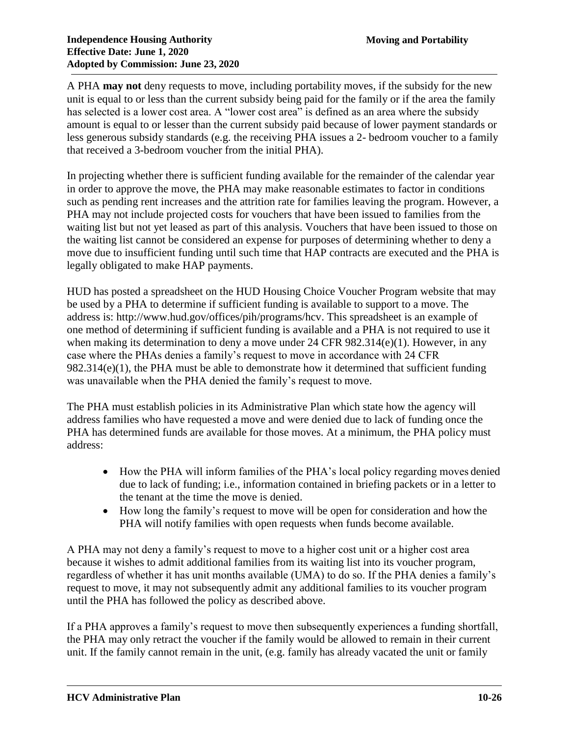A PHA **may not** deny requests to move, including portability moves, if the subsidy for the new unit is equal to or less than the current subsidy being paid for the family or if the area the family has selected is a lower cost area. A "lower cost area" is defined as an area where the subsidy amount is equal to or lesser than the current subsidy paid because of lower payment standards or less generous subsidy standards (e.g. the receiving PHA issues a 2- bedroom voucher to a family that received a 3-bedroom voucher from the initial PHA).

In projecting whether there is sufficient funding available for the remainder of the calendar year in order to approve the move, the PHA may make reasonable estimates to factor in conditions such as pending rent increases and the attrition rate for families leaving the program. However, a PHA may not include projected costs for vouchers that have been issued to families from the waiting list but not yet leased as part of this analysis. Vouchers that have been issued to those on the waiting list cannot be considered an expense for purposes of determining whether to deny a move due to insufficient funding until such time that HAP contracts are executed and the PHA is legally obligated to make HAP payments.

HUD has posted a spreadsheet on the HUD Housing Choice Voucher Program website that may be used by a PHA to determine if sufficient funding is available to support to a move. The address is: [http://www.hud.gov/offices/pih/programs/hcv.](http://www.hud.gov/offices/pih/programs/hcv) This spreadsheet is an example of one method of determining if sufficient funding is available and a PHA is not required to use it when making its determination to deny a move under 24 CFR 982.314(e)(1). However, in any case where the PHAs denies a family's request to move in accordance with 24 CFR 982.314(e)(1), the PHA must be able to demonstrate how it determined that sufficient funding was unavailable when the PHA denied the family's request to move.

The PHA must establish policies in its Administrative Plan which state how the agency will address families who have requested a move and were denied due to lack of funding once the PHA has determined funds are available for those moves. At a minimum, the PHA policy must address:

- How the PHA will inform families of the PHA's local policy regarding moves denied due to lack of funding; i.e., information contained in briefing packets or in a letter to the tenant at the time the move is denied.
- How long the family's request to move will be open for consideration and how the PHA will notify families with open requests when funds become available.

A PHA may not deny a family's request to move to a higher cost unit or a higher cost area because it wishes to admit additional families from its waiting list into its voucher program, regardless of whether it has unit months available (UMA) to do so. If the PHA denies a family's request to move, it may not subsequently admit any additional families to its voucher program until the PHA has followed the policy as described above.

If a PHA approves a family's request to move then subsequently experiences a funding shortfall, the PHA may only retract the voucher if the family would be allowed to remain in their current unit. If the family cannot remain in the unit, (e.g. family has already vacated the unit or family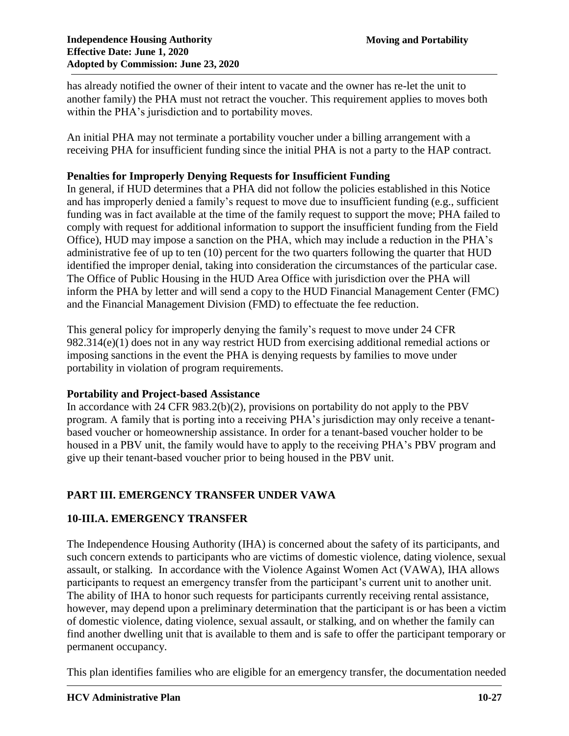has already notified the owner of their intent to vacate and the owner has re-let the unit to another family) the PHA must not retract the voucher. This requirement applies to moves both within the PHA's jurisdiction and to portability moves.

An initial PHA may not terminate a portability voucher under a billing arrangement with a receiving PHA for insufficient funding since the initial PHA is not a party to the HAP contract.

### **Penalties for Improperly Denying Requests for Insufficient Funding**

In general, if HUD determines that a PHA did not follow the policies established in this Notice and has improperly denied a family's request to move due to insufficient funding (e.g., sufficient funding was in fact available at the time of the family request to support the move; PHA failed to comply with request for additional information to support the insufficient funding from the Field Office), HUD may impose a sanction on the PHA, which may include a reduction in the PHA's administrative fee of up to ten (10) percent for the two quarters following the quarter that HUD identified the improper denial, taking into consideration the circumstances of the particular case. The Office of Public Housing in the HUD Area Office with jurisdiction over the PHA will inform the PHA by letter and will send a copy to the HUD Financial Management Center (FMC) and the Financial Management Division (FMD) to effectuate the fee reduction.

This general policy for improperly denying the family's request to move under 24 CFR 982.314(e)(1) does not in any way restrict HUD from exercising additional remedial actions or imposing sanctions in the event the PHA is denying requests by families to move under portability in violation of program requirements.

# **Portability and Project-based Assistance**

In accordance with 24 CFR 983.2(b)(2), provisions on portability do not apply to the PBV program. A family that is porting into a receiving PHA's jurisdiction may only receive a tenantbased voucher or homeownership assistance. In order for a tenant-based voucher holder to be housed in a PBV unit, the family would have to apply to the receiving PHA's PBV program and give up their tenant-based voucher prior to being housed in the PBV unit.

# **PART III. EMERGENCY TRANSFER UNDER VAWA**

# **10-III.A. EMERGENCY TRANSFER**

The Independence Housing Authority (IHA) is concerned about the safety of its participants, and such concern extends to participants who are victims of domestic violence, dating violence, sexual assault, or stalking. In accordance with the Violence Against Women Act (VAWA), IHA allows participants to request an emergency transfer from the participant's current unit to another unit. The ability of IHA to honor such requests for participants currently receiving rental assistance, however, may depend upon a preliminary determination that the participant is or has been a victim of domestic violence, dating violence, sexual assault, or stalking, and on whether the family can find another dwelling unit that is available to them and is safe to offer the participant temporary or permanent occupancy.

This plan identifies families who are eligible for an emergency transfer, the documentation needed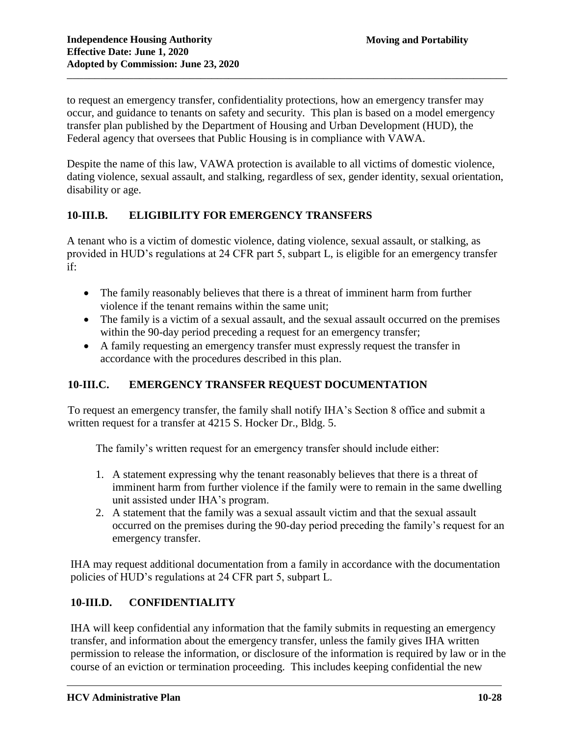to request an emergency transfer, confidentiality protections, how an emergency transfer may occur, and guidance to tenants on safety and security. This plan is based on a model emergency transfer plan published by the Department of Housing and Urban Development (HUD), the Federal agency that oversees that Public Housing is in compliance with VAWA.

Despite the name of this law, VAWA protection is available to all victims of domestic violence, dating violence, sexual assault, and stalking, regardless of sex, gender identity, sexual orientation, disability or age.

# **10-III.B. ELIGIBILITY FOR EMERGENCY TRANSFERS**

A tenant who is a victim of domestic violence, dating violence, sexual assault, or stalking, as provided in HUD's regulations at 24 CFR part 5, subpart L, is eligible for an emergency transfer if:

- The family reasonably believes that there is a threat of imminent harm from further violence if the tenant remains within the same unit;
- The family is a victim of a sexual assault, and the sexual assault occurred on the premises within the 90-day period preceding a request for an emergency transfer;
- A family requesting an emergency transfer must expressly request the transfer in accordance with the procedures described in this plan.

# **10-III.C. EMERGENCY TRANSFER REQUEST DOCUMENTATION**

To request an emergency transfer, the family shall notify IHA's Section 8 office and submit a written request for a transfer at 4215 S. Hocker Dr., Bldg. 5.

The family's written request for an emergency transfer should include either:

- 1. A statement expressing why the tenant reasonably believes that there is a threat of imminent harm from further violence if the family were to remain in the same dwelling unit assisted under IHA's program.
- 2. A statement that the family was a sexual assault victim and that the sexual assault occurred on the premises during the 90-day period preceding the family's request for an emergency transfer.

IHA may request additional documentation from a family in accordance with the documentation policies of HUD's regulations at 24 CFR part 5, subpart L.

# **10-III.D. CONFIDENTIALITY**

IHA will keep confidential any information that the family submits in requesting an emergency transfer, and information about the emergency transfer, unless the family gives IHA written permission to release the information, or disclosure of the information is required by law or in the course of an eviction or termination proceeding. This includes keeping confidential the new